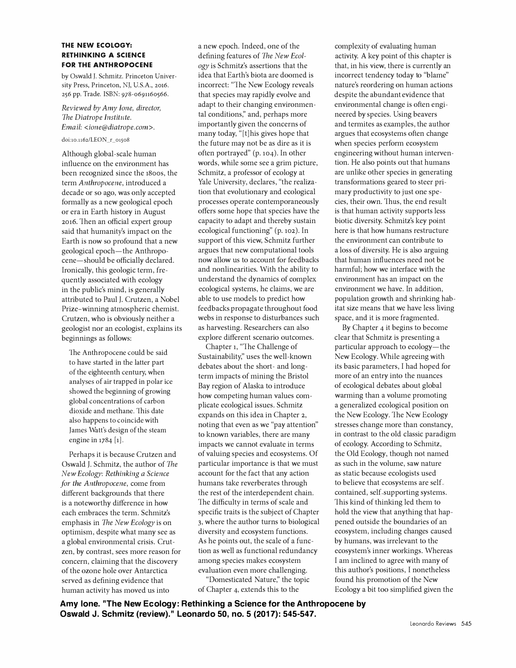## **THE NEW ECOLOGY: RETHINKING A SCIENCE FOR THE ANTHROPOCENE**

by Oswald J. Schmitz. Princeton University Press, Princeton, NJ, U.S.A., 2016. 256 pp. Trade. ISBN: 978-0691160566.

*Reviewed by Amy Ione, director, The Diatrope Institute. Email: <ione@diatrope.com>.* 

## doi:10.1162/LEON\_r\_01508

Although global-scale human influence on the environment has been recognized since the 1800s, the term *Anthropocene,* introduced a decade or so ago, was only accepted formally as a new geological epoch or era in Earth history in August 2016. Then an official expert group said that humanity's impact on the Earth is now so profound that a new geological epoch-the Anthropocene-should be officially declared. Ironically, this geologic term, frequently associated with ecology in the public's mind, is generally attributed to Paul J. Crutzen, a Nobel Prize-winning atmospheric chemist. Crutzen, who is obviously neither a geologist nor an ecologist, explains its beginnings as follows:

The Anthropocene could be said to have started in the latter part of the eighteenth century, when analyses of air trapped in polar ice showed the beginning of growing global concentrations of carbon dioxide and methane. This date also happens to coincide with James Watt's design of the steam engine in 1784 [1].

Perhaps it is because Crutzen and Oswald J. Schmitz, the author of *The New Ecology: Rethinking a Science for the Anthropocene,* come from different backgrounds that there is a noteworthy difference in how each embraces the term. Schmitz's emphasis in *The New Ecology* is on optimism, despite what many see as a global environmental crisis. Crutzen, by contrast, sees more reason for concern, claiming that the discovery of the ozone hole over Antarctica served as defining evidence that human activity has moved us into

a new epoch. Indeed, one of the defining features of *The New Ecology* is Schmitz's assertions that the idea that Earth's biota are doomed is incorrect: "The New Ecology reveals that species may rapidly evolve and adapt to their changing environmental conditions;' and, perhaps more importantly given the concerns of many today, "[t]his gives hope that the future may not be as dire as it is often portrayed" (p. 104). In other words, while some see a grim picture, Schmitz, a professor of ecology at Yale University, declares, "the realization that evolutionary and ecological processes operate contemporaneously offers some hope that species have the capacity to adapt and thereby sustain ecological functioning" (p. 102). In support of this view, Schmitz further argues that new computational tools now allow us to account for feedbacks and nonlinearities. With the ability to understand the dynamics of complex ecological systems, he claims, we are able to use models to predict how feedbacks propagate throughout food webs in response to disturbances such as harvesting. Researchers can also explore different scenario outcomes.

Chapter 1, "The Challenge of Sustainability;' uses the well-known debates about the short- and longterm impacts of mining the Bristol Bay region of Alaska to introduce how competing human values complicate ecological issues. Schmitz expands on this idea in Chapter 2, noting that even as we "pay attention" to known variables, there are many impacts we cannot evaluate in terms of valuing species and ecosystems. Of particular importance is that we must account for the fact that any action humans take reverberates through the rest of the interdependent chain. The difficulty in terms of scale and specific traits is the subject of Chapter 3, where the author turns to biological diversity and ecosystem functions. As he points out, the scale of a function as well as functional redundancy among species makes ecosystem evaluation even more challenging.

"Domesticated Nature;' the topic of Chapter 4, extends this to the

complexity of evaluating human activity. A key point of this chapter is that, in his view, there is currently an incorrect tendency today to "blame" nature's reordering on human actions despite the abundant evidence that environmental change is often engineered by species. Using beavers and termites as examples, the author argues that ecosystems often change when species perform ecosystem engineering without human intervention. He also points out that humans are unlike other species in generating transformations geared to steer primary productivity to just one species, their own. Thus, the end result is that human activity supports less biotic diversity. Schmitz's key point here is that how humans restructure the environment can contribute to a loss of diversity. He is also arguing that human influences need not be harmful; how we interface with the environment has an impact on the environment we have. In addition, population growth and shrinking habitat size means that we have less living space, and it is more fragmented.

By Chapter 4 it begins to become clear that Schmitz is presenting a particular approach to ecology-the New Ecology. While agreeing with its basic parameters, I had hoped for more of an entry into the nuances of ecological debates about global warming than a volume promoting a generalized ecological position on the New Ecology. The New Ecology stresses change more than constancy, in contrast to the old classic paradigm of ecology. According to Schmitz, the Old Ecology, though not named as such in the volume, saw nature as static because ecologists used to believe that ecosystems are self contained, self-supporting systems. This kind of thinking led them to hold the view that anything that happened outside the boundaries of an ecosystem, including changes caused by humans, was irrelevant to the ecosystem's inner workings. Whereas I am inclined to agree with many of this author's positions, I nonetheless found his promotion of the New Ecology a bit too simplified given the

**Amy lone. "The New Ecology: Rethinking a Science for the Anthropocene by Oswald J. Schmitz (review)." Leonardo 50, no. 5 (2017): 545-547.**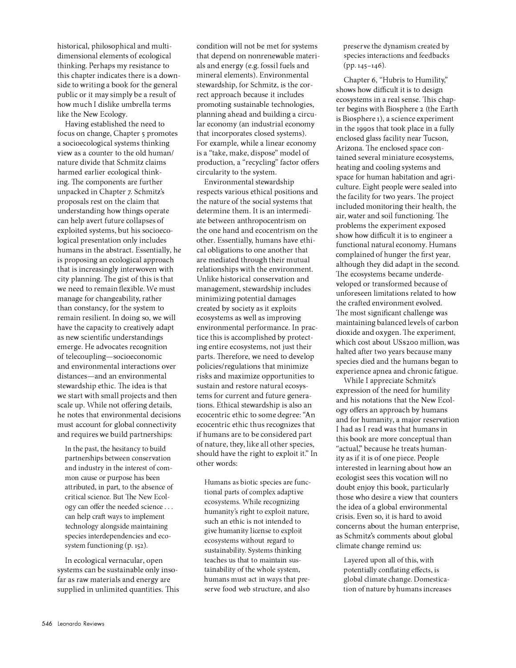historical, philosophical and multidimensional elements of ecological thinking. Perhaps my resistance to this chapter indicates there is a downside to writing a book for the general public or it may simply be a result of how much I dislike umbrella terms like the New Ecology.

Having established the need to focus on change, Chapter 5 promotes a socioecological systems thinking view as a counter to the old human/ nature divide that Schmitz claims harmed earlier ecological thinking. The components are further unpacked in Chapter 7. Schmitz's proposals rest on the claim that understanding how things operate can help avert future collapses of exploited systems, but his socioecological presentation only includes humans in the abstract. Essentially, he is proposing an ecological approach that is increasingly interwoven with city planning. The gist of this is that we need to remain flexible. We must manage for changeability, rather than constancy, for the system to remain resilient. In doing so, we will have the capacity to creatively adapt as new scientific understandings emerge. He advocates recognition of telecoupling-socioeconomic and environmental interactions over distances-and an environmental stewardship ethic. The idea is that we start with small projects and then scale up. While not offering details, he notes that environmental decisions must account for global connectivity and requires we build partnerships:

In the past, the hesitancy to build partnerships between conservation and industry in the interest of common cause or purpose has been attributed, in part, to the absence of critical science. But The New Ecology can offer the needed science ... can help craft ways to implement technology alongside maintaining species interdependencies and ecosystem functioning (p. 152).

In ecological vernacular, open systems can be sustainable only insofar as raw materials and energy are supplied in unlimited quantities. This condition will not be met for systems that depend on nonrenewable materials and energy (e.g. fossil fuels and mineral elements). Environmental stewardship, for Schmitz, is the correct approach because it includes promoting sustainable technologies, planning ahead and building a circular economy (an industrial economy that incorporates closed systems). For example, while a linear economy is a "take, make, dispose" model of production, a "recycling" factor offers circularity to the system.

Environmental stewardship respects various ethical positions and the nature of the social systems that determine them. It is an intermediate between anthropocentrism on the one hand and ecocentrism on the other. Essentially, humans have ethical obligations to one another that are mediated through their mutual relationships with the environment. Unlike historical conservation and management, stewardship includes minimizing potential damages created by society as it exploits ecosystems as well as improving environmental performance. In practice this is accomplished by protecting entire ecosystems, not just their parts. Therefore, we need to develop policies/regulations that minimize risks and maximize opportunities to sustain and restore natural ecosystems for current and future generations. Ethical stewardship is also an ecocentric ethic to some degree: "An ecocentric ethic thus recognizes that if humans are to be considered part of nature, they, like all other species, should have the right to exploit if' In other words:

Humans as biotic species are functional parts of complex adaptive ecosystems. While recognizing humanity's right to exploit nature, such an ethic is not intended to give humanity license to exploit ecosystems without regard to sustainability. Systems thinking teaches us that to maintain sustainability of the whole system, humans must act in ways that preserve food web structure, and also

preserve the dynamism created by species interactions and feedbacks (pp. 145-146).

Chapter 6, "Hubris to Humility;' shows how difficult it is to design ecosystems in a real sense. This chapter begins with Biosphere 2 (the Earth is Biosphere 1), a science experiment in the 1990s that took place in a fully enclosed glass facility near Tucson, Arizona. The enclosed space contained several miniature ecosystems, heating and cooling systems and space for human habitation and agriculture. Eight people were sealed into the facility for two years. The project included monitoring their health, the air, water and soil functioning. The problems the experiment exposed show how difficult it is to engineer a functional natural economy. Humans complained of hunger the first year, although they did adapt in the second. The ecosystems became underdeveloped or transformed because of unforeseen limitations related to how the crafted environment evolved. The most significant challenge was maintaining balanced levels of carbon dioxide and oxygen. The experiment, which cost about US\$200 million, was halted after two years because many species died and the humans began to experience apnea and chronic fatigue.

While I appreciate Schmitz's expression of the need for humility and his notations that the New Ecology offers an approach by humans and for humanity, a major reservation I had as I read was that humans in this book are more conceptual than "actual;' because he treats humanity as if it is of one piece. People interested in learning about how an ecologist sees this vocation will no doubt enjoy this book, particularly those who desire a view that counters the idea of a global environmental crisis. Even so, it is hard to avoid concerns about the human enterprise, as Schmitz's comments about global climate change remind us:

Layered upon all of this, with potentially conflating effects, is global climate change. Domestication of nature by humans increases